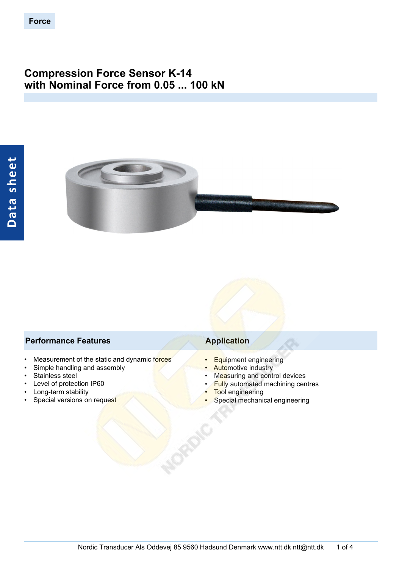# **Compression Force Sensor K-14 with Nominal Force from 0.05 ... 100 kN**



## **Performance Features Application**

- Measurement of the static and dynamic forces
- Simple handling and assembly
- Stainless steel
- Level of protection IP60
- Long-term stability
- Special versions on request

- Equipment engineering
- **Automotive industry**
- Measuring and control devices
- **Fully automated machining centres**
- **Tool engineering**
- Special mechanical engineering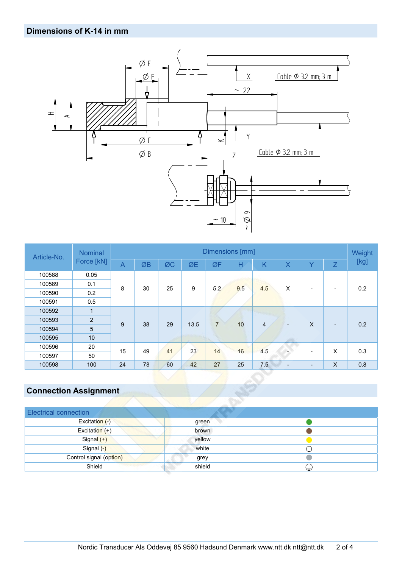# **Dimensions of K-14 in mm**



| Article-No. | <b>Nominal</b><br>Force [kN] | Dimensions [mm] |    |    |      |                |     |                |                              |                          | Weight                   |      |
|-------------|------------------------------|-----------------|----|----|------|----------------|-----|----------------|------------------------------|--------------------------|--------------------------|------|
|             |                              | $\overline{A}$  | ØB | ØC | ØE   | ØF             | Н   | K              | X                            | $\checkmark$             | $\overline{Z}$           | [kg] |
| 100588      | 0.05                         |                 |    |    |      |                |     |                |                              |                          |                          |      |
| 100589      | 0.1                          | 8               | 30 | 25 | 9    | 5.2            | 9.5 | 4.5            | X                            | $\overline{\phantom{a}}$ | -                        | 0.2  |
| 100590      | 0.2                          |                 |    |    |      |                |     |                |                              |                          |                          |      |
| 100591      | 0.5                          |                 |    |    |      |                |     |                |                              |                          |                          |      |
| 100592      | $\mathbf{1}$                 |                 |    |    |      |                |     |                |                              |                          |                          |      |
| 100593      | $\overline{2}$               | 9               | 38 | 29 | 13.5 | $\overline{7}$ | 10  | $\overline{4}$ | $\qquad \qquad \blacksquare$ | $\mathsf{X}$             | $\overline{\phantom{a}}$ | 0.2  |
| 100594      | 5                            |                 |    |    |      |                |     |                |                              |                          |                          |      |
| 100595      | 10                           |                 |    |    |      |                |     |                |                              |                          |                          |      |
| 100596      | 20                           | 15              | 49 | 41 | 23   | 14             | 16  |                |                              |                          |                          |      |
| 100597      | 50                           |                 |    |    |      |                |     | 4.5            | $\overline{\phantom{a}}$     | $\overline{\phantom{a}}$ | X                        | 0.3  |
| 100598      | 100                          | 24              | 78 | 60 | 42   | 27             | 25  | 7.5            | $\overline{\phantom{a}}$     | $\overline{\phantom{a}}$ | $\times$                 | 0.8  |

# **Connection Assignment**

| <b>Electrical connection</b> |        |   |
|------------------------------|--------|---|
| Excitation (-)               | green  |   |
| Excitation (+)               | brown  |   |
| Signal (+)                   | yellow |   |
| Signal (-)                   | white  |   |
| Control signal (option)      | grey   |   |
| Shield                       | shield | ₩ |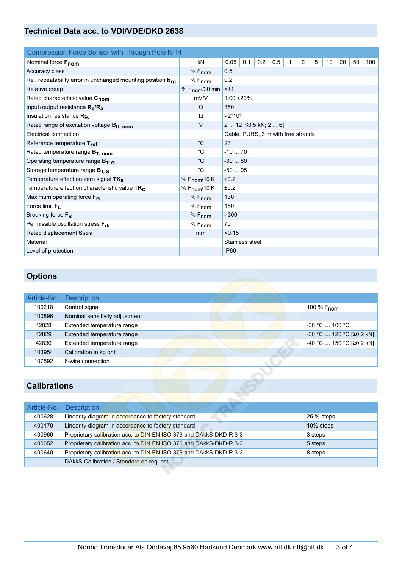# **Technical Data acc. to VDI/VDE/DKD 2638**

| Compression Force Sensor with Through Hole K-14             |                            |                                    |     |     |     |   |                |   |    |    |    |     |
|-------------------------------------------------------------|----------------------------|------------------------------------|-----|-----|-----|---|----------------|---|----|----|----|-----|
| Nominal force Fnom                                          | kN                         | 0.05                               | 0.1 | 0.2 | 0.5 | 1 | $\overline{2}$ | 5 | 10 | 20 | 50 | 100 |
| Accuracy class                                              | $%F_{nom}$                 | 0.5                                |     |     |     |   |                |   |    |    |    |     |
| Rel. repeatability error in unchanged mounting position bra | $%F_{nom}$                 | 0.2                                |     |     |     |   |                |   |    |    |    |     |
| Relative creep                                              | % $F_{\text{nom}}$ /30 min | $< \pm 1$                          |     |     |     |   |                |   |    |    |    |     |
| Rated characteristic value Cnom                             | mV/V                       | 1.00 ±20%                          |     |     |     |   |                |   |    |    |    |     |
| Input/output resistance $R_{\rm e}/R_{\rm a}$               | Ω                          | 350                                |     |     |     |   |                |   |    |    |    |     |
| Insulation resistance $R_{is}$                              | Ω                          | $>2*10^9$                          |     |     |     |   |                |   |    |    |    |     |
| Rated range of excitation voltage B <sub>U, nom</sub>       | $\vee$                     | 2  12 [≤0.5 kN; 2  6]              |     |     |     |   |                |   |    |    |    |     |
| Electrical connection                                       |                            | Cable, PURS, 3 m with free strands |     |     |     |   |                |   |    |    |    |     |
| Reference temperature Tref                                  | $^{\circ}C$                | 23                                 |     |     |     |   |                |   |    |    |    |     |
| Rated temperature range $B_T$ , nom                         | $^{\circ}$ C               | $-1070$                            |     |     |     |   |                |   |    |    |    |     |
| Operating temperature range $B_{T, G}$                      | $^{\circ}C$                | $-3080$                            |     |     |     |   |                |   |    |    |    |     |
| Storage temperature range $B_{T.S.}$                        | $^{\circ}C$                | $-5095$                            |     |     |     |   |                |   |    |    |    |     |
| Temperature effect on zero signal $TK_0$                    | % $F_{\text{nom}}$ /10 K   | ±0.2                               |     |     |     |   |                |   |    |    |    |     |
| Temperature effect on characteristic value TK <sub>C</sub>  | % $F_{\text{nom}}$ /10 K   | ±0.2                               |     |     |     |   |                |   |    |    |    |     |
| Maximum operating force F <sub>G</sub>                      | $%F_{nom}$                 | 130                                |     |     |     |   |                |   |    |    |    |     |
| Force limit $F1$                                            | $%F_{nom}$                 | 150                                |     |     |     |   |                |   |    |    |    |     |
| Breaking force F <sub>B</sub>                               | $%F_{nom}$                 | >300                               |     |     |     |   |                |   |    |    |    |     |
| Permissible oscillation stress F <sub>rb</sub>              | $%F_{nom}$                 | 70                                 |     |     |     |   |                |   |    |    |    |     |
| Rated displacement Snom                                     | mm                         | < 0.15                             |     |     |     |   |                |   |    |    |    |     |
| Material                                                    |                            | Stainless steel                    |     |     |     |   |                |   |    |    |    |     |
| Level of protection                                         |                            | <b>IP60</b>                        |     |     |     |   |                |   |    |    |    |     |

# **Options**

| Article-No. | <b>Description</b>             |                                  |
|-------------|--------------------------------|----------------------------------|
| 100218      | Control signal                 | 100 % F <sub>nom</sub>           |
| 100896      | Nominal sensitivity adjustment |                                  |
| 42828       | Extended temperature range     | -30 °C  100 °C                   |
| 42829       | Extended temperature range     | $\sim$ -30 °C  120 °C [≥0.2 kN]  |
| 42830       | Extended temperature range     | $-40 °C$ 150 °C [ $\geq$ 0.2 kN] |
| 103954      | Calibration in kg or t         |                                  |
| 107592      | 6-wire connection              |                                  |

# **Calibrations**

| Article-No. | <b>Description</b>                                                 |            |
|-------------|--------------------------------------------------------------------|------------|
| 400628      | Linearity diagram in accordance to factory standard                | 25 % steps |
| 400170      | Linearity diagram in accordance to factory standard                | 10% steps  |
| 400960      | Proprietary calibration acc. to DIN EN ISO 376 and DAkkS-DKD-R 3-3 | 3 steps    |
| 400652      | Proprietary calibration acc. to DIN EN ISO 376 and DAkkS-DKD-R 3-3 | 5 steps    |
| 400640      | Proprietary calibration acc. to DIN EN ISO 376 and DAkkS-DKD-R 3-3 | 8 steps    |
|             | DAkkS-Calibration / Standard on request                            |            |